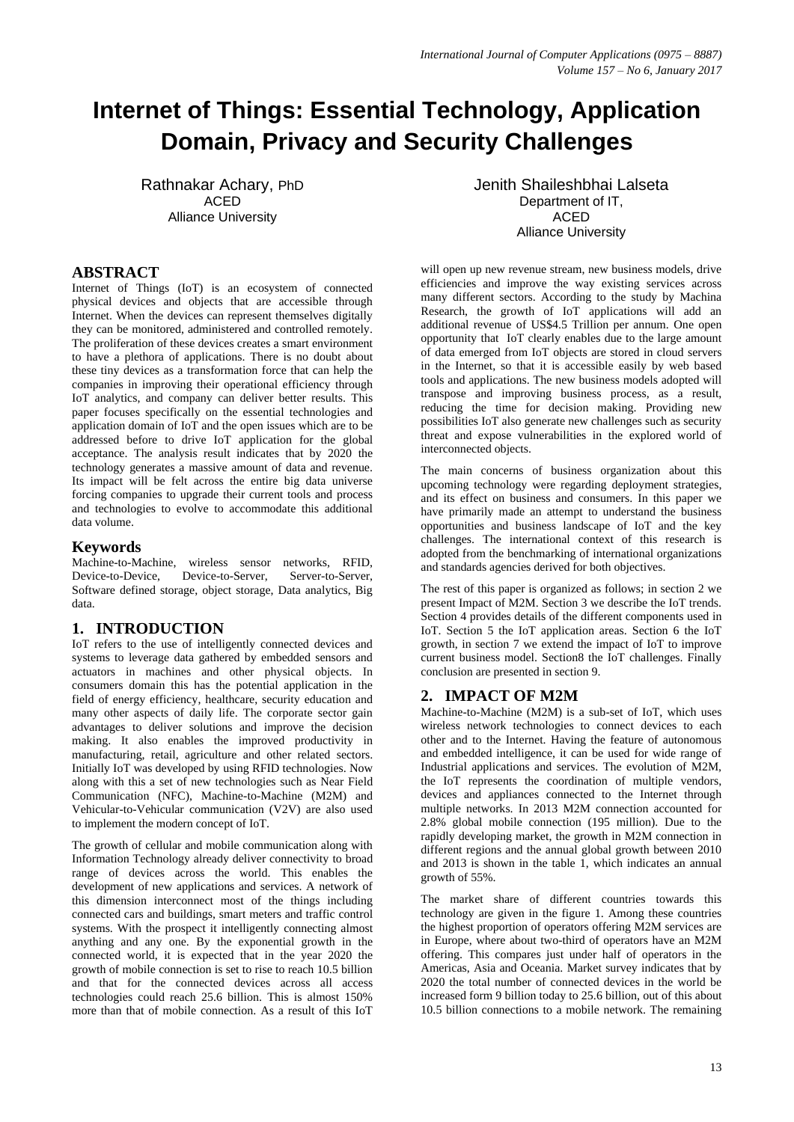# **Internet of Things: Essential Technology, Application Domain, Privacy and Security Challenges**

Rathnakar Achary, PhD ACED Alliance University

## **ABSTRACT**

Internet of Things (IoT) is an ecosystem of connected physical devices and objects that are accessible through Internet. When the devices can represent themselves digitally they can be monitored, administered and controlled remotely. The proliferation of these devices creates a smart environment to have a plethora of applications. There is no doubt about these tiny devices as a transformation force that can help the companies in improving their operational efficiency through IoT analytics, and company can deliver better results. This paper focuses specifically on the essential technologies and application domain of IoT and the open issues which are to be addressed before to drive IoT application for the global acceptance. The analysis result indicates that by 2020 the technology generates a massive amount of data and revenue. Its impact will be felt across the entire big data universe forcing companies to upgrade their current tools and process and technologies to evolve to accommodate this additional data volume.

## **Keywords**

Machine-to-Machine, wireless sensor networks, RFID, Device-to-Device, Device-to-Server, Server-to-Server, Software defined storage, object storage, Data analytics, Big data.

# **1. INTRODUCTION**

IoT refers to the use of intelligently connected devices and systems to leverage data gathered by embedded sensors and actuators in machines and other physical objects. In consumers domain this has the potential application in the field of energy efficiency, healthcare, security education and many other aspects of daily life. The corporate sector gain advantages to deliver solutions and improve the decision making. It also enables the improved productivity in manufacturing, retail, agriculture and other related sectors. Initially IoT was developed by using RFID technologies. Now along with this a set of new technologies such as Near Field Communication (NFC), Machine-to-Machine (M2M) and Vehicular-to-Vehicular communication (V2V) are also used to implement the modern concept of IoT.

The growth of cellular and mobile communication along with Information Technology already deliver connectivity to broad range of devices across the world. This enables the development of new applications and services. A network of this dimension interconnect most of the things including connected cars and buildings, smart meters and traffic control systems. With the prospect it intelligently connecting almost anything and any one. By the exponential growth in the connected world, it is expected that in the year 2020 the growth of mobile connection is set to rise to reach 10.5 billion and that for the connected devices across all access technologies could reach 25.6 billion. This is almost 150% more than that of mobile connection. As a result of this IoT

Jenith Shaileshbhai Lalseta Department of IT. ACED Alliance University

will open up new revenue stream, new business models, drive efficiencies and improve the way existing services across many different sectors. According to the study by Machina Research, the growth of IoT applications will add an additional revenue of US\$4.5 Trillion per annum. One open opportunity that IoT clearly enables due to the large amount of data emerged from IoT objects are stored in cloud servers in the Internet, so that it is accessible easily by web based tools and applications. The new business models adopted will transpose and improving business process, as a result, reducing the time for decision making. Providing new possibilities IoT also generate new challenges such as security threat and expose vulnerabilities in the explored world of interconnected objects.

The main concerns of business organization about this upcoming technology were regarding deployment strategies, and its effect on business and consumers. In this paper we have primarily made an attempt to understand the business opportunities and business landscape of IoT and the key challenges. The international context of this research is adopted from the benchmarking of international organizations and standards agencies derived for both objectives.

The rest of this paper is organized as follows; in section 2 we present Impact of M2M. Section 3 we describe the IoT trends. Section 4 provides details of the different components used in IoT. Section 5 the IoT application areas. Section 6 the IoT growth, in section 7 we extend the impact of IoT to improve current business model. Section8 the IoT challenges. Finally conclusion are presented in section 9.

## **2. IMPACT OF M2M**

Machine-to-Machine (M2M) is a sub-set of IoT, which uses wireless network technologies to connect devices to each other and to the Internet. Having the feature of autonomous and embedded intelligence, it can be used for wide range of Industrial applications and services. The evolution of M2M, the IoT represents the coordination of multiple vendors, devices and appliances connected to the Internet through multiple networks. In 2013 M2M connection accounted for 2.8% global mobile connection (195 million). Due to the rapidly developing market, the growth in M2M connection in different regions and the annual global growth between 2010 and 2013 is shown in the table 1, which indicates an annual growth of 55%.

The market share of different countries towards this technology are given in the figure 1. Among these countries the highest proportion of operators offering M2M services are in Europe, where about two-third of operators have an M2M offering. This compares just under half of operators in the Americas, Asia and Oceania. Market survey indicates that by 2020 the total number of connected devices in the world be increased form 9 billion today to 25.6 billion, out of this about 10.5 billion connections to a mobile network. The remaining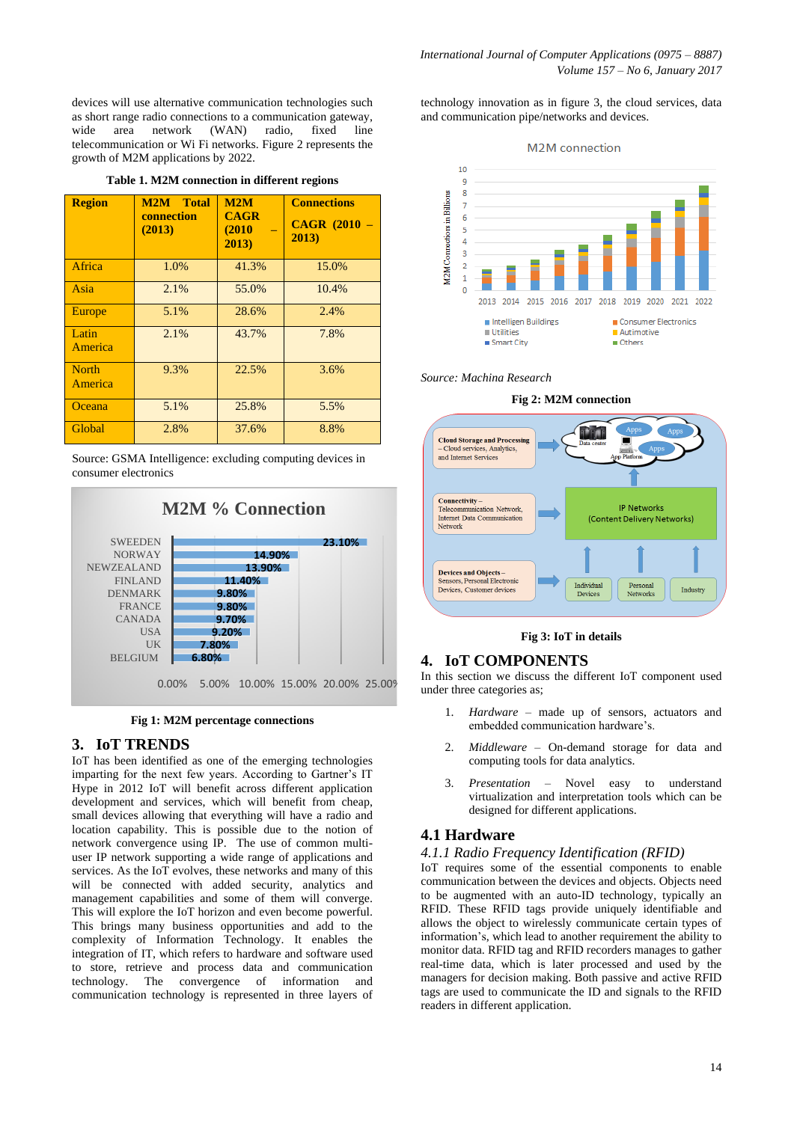devices will use alternative communication technologies such as short range radio connections to a communication gateway, wide area network (WAN) radio, fixed line telecommunication or Wi Fi networks. Figure 2 represents the growth of M2M applications by 2022.

|  | Table 1. M2M connection in different regions |  |  |  |
|--|----------------------------------------------|--|--|--|
|--|----------------------------------------------|--|--|--|

| <b>Region</b>           | M2M<br><b>Total</b><br>connection<br>(2013) | M2M<br><b>CAGR</b><br>(2010)<br>2013) | <b>Connections</b><br><b>CAGR (2010)</b><br>2013) |
|-------------------------|---------------------------------------------|---------------------------------------|---------------------------------------------------|
| Africa                  | 1.0%                                        | 41.3%                                 | 15.0%                                             |
| Asia                    | 2.1%                                        | 55.0%                                 | 10.4%                                             |
| Europe                  | 5.1%                                        | 28.6%                                 | 2.4%                                              |
| Latin<br>America        | 2.1%                                        | 43.7%                                 | 7.8%                                              |
| <b>North</b><br>America | 9.3%                                        | 22.5%                                 | 3.6%                                              |
| Oceana                  | 5.1%                                        | 25.8%                                 | 5.5%                                              |
| Global                  | 2.8%                                        | 37.6%                                 | 8.8%                                              |

Source: GSMA Intelligence: excluding computing devices in consumer electronics



**Fig 1: M2M percentage connections**

#### **3. IoT TRENDS**

IoT has been identified as one of the emerging technologies imparting for the next few years. According to Gartner's IT Hype in 2012 IoT will benefit across different application development and services, which will benefit from cheap, small devices allowing that everything will have a radio and location capability. This is possible due to the notion of network convergence using IP. The use of common multiuser IP network supporting a wide range of applications and services. As the IoT evolves, these networks and many of this will be connected with added security, analytics and management capabilities and some of them will converge. This will explore the IoT horizon and even become powerful. This brings many business opportunities and add to the complexity of Information Technology. It enables the integration of IT, which refers to hardware and software used to store, retrieve and process data and communication technology. The convergence of information and communication technology is represented in three layers of

technology innovation as in figure 3, the cloud services, data and communication pipe/networks and devices.





*Source: Machina Research*





## **Fig 3: IoT in details**

## **4. IoT COMPONENTS**

In this section we discuss the different IoT component used under three categories as;

- 1. *Hardware* made up of sensors, actuators and embedded communication hardware's.
- 2. *Middleware* On-demand storage for data and computing tools for data analytics.
- 3. *Presentation* Novel easy to understand virtualization and interpretation tools which can be designed for different applications.

#### **4.1 Hardware**

#### *4.1.1 Radio Frequency Identification (RFID)*

IoT requires some of the essential components to enable communication between the devices and objects. Objects need to be augmented with an auto-ID technology, typically an RFID. These RFID tags provide uniquely identifiable and allows the object to wirelessly communicate certain types of information's, which lead to another requirement the ability to monitor data. RFID tag and RFID recorders manages to gather real-time data, which is later processed and used by the managers for decision making. Both passive and active RFID tags are used to communicate the ID and signals to the RFID readers in different application.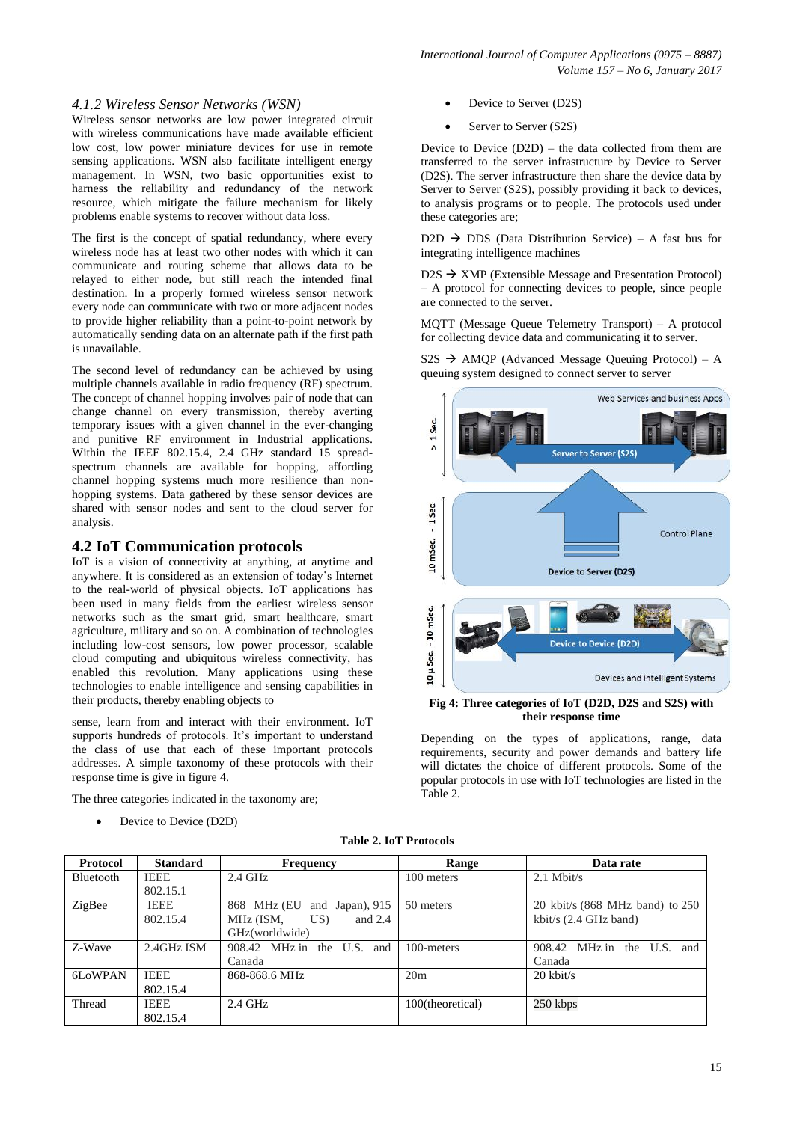### *4.1.2 Wireless Sensor Networks (WSN)*

Wireless sensor networks are low power integrated circuit with wireless communications have made available efficient low cost, low power miniature devices for use in remote sensing applications. WSN also facilitate intelligent energy management. In WSN, two basic opportunities exist to harness the reliability and redundancy of the network resource, which mitigate the failure mechanism for likely problems enable systems to recover without data loss.

The first is the concept of spatial redundancy, where every wireless node has at least two other nodes with which it can communicate and routing scheme that allows data to be relayed to either node, but still reach the intended final destination. In a properly formed wireless sensor network every node can communicate with two or more adjacent nodes to provide higher reliability than a point-to-point network by automatically sending data on an alternate path if the first path is unavailable.

The second level of redundancy can be achieved by using multiple channels available in radio frequency (RF) spectrum. The concept of channel hopping involves pair of node that can change channel on every transmission, thereby averting temporary issues with a given channel in the ever-changing and punitive RF environment in Industrial applications. Within the IEEE 802.15.4, 2.4 GHz standard 15 spreadspectrum channels are available for hopping, affording channel hopping systems much more resilience than nonhopping systems. Data gathered by these sensor devices are shared with sensor nodes and sent to the cloud server for analysis.

## **4.2 IoT Communication protocols**

IoT is a vision of connectivity at anything, at anytime and anywhere. It is considered as an extension of today's Internet to the real-world of physical objects. IoT applications has been used in many fields from the earliest wireless sensor networks such as the smart grid, smart healthcare, smart agriculture, military and so on. A combination of technologies including low-cost sensors, low power processor, scalable cloud computing and ubiquitous wireless connectivity, has enabled this revolution. Many applications using these technologies to enable intelligence and sensing capabilities in their products, thereby enabling objects to

sense, learn from and interact with their environment. IoT supports hundreds of protocols. It's important to understand the class of use that each of these important protocols addresses. A simple taxonomy of these protocols with their response time is give in figure 4.

The three categories indicated in the taxonomy are;

Device to Device (D2D)

- Device to Server (D2S)
- Server to Server (S2S)

Device to Device (D2D) – the data collected from them are transferred to the server infrastructure by Device to Server (D2S). The server infrastructure then share the device data by Server to Server (S2S), possibly providing it back to devices, to analysis programs or to people. The protocols used under these categories are;

 $D2D \rightarrow DDS$  (Data Distribution Service) – A fast bus for integrating intelligence machines

 $D2S \rightarrow XMP$  (Extensible Message and Presentation Protocol) – A protocol for connecting devices to people, since people are connected to the server.

MQTT (Message Queue Telemetry Transport) – A protocol for collecting device data and communicating it to server.

 $S2S \rightarrow AMOP$  (Advanced Message Queuing Protocol) – A queuing system designed to connect server to server



**Fig 4: Three categories of IoT (D2D, D2S and S2S) with their response time**

Depending on the types of applications, range, data requirements, security and power demands and battery life will dictates the choice of different protocols. Some of the popular protocols in use with IoT technologies are listed in the Table 2.

|  |  | <b>Table 2. IoT Protocols</b> |
|--|--|-------------------------------|
|--|--|-------------------------------|

| <b>Protocol</b> | <b>Standard</b> | <b>Frequency</b>                 | Range            | Data rate                       |
|-----------------|-----------------|----------------------------------|------------------|---------------------------------|
| Bluetooth       | <b>IEEE</b>     | $2.4$ GHz                        | 100 meters       | $2.1$ Mbit/s                    |
|                 | 802.15.1        |                                  |                  |                                 |
| ZigBee          | <b>IEEE</b>     | 868 MHz (EU<br>and Japan), $915$ | 50 meters        | 20 kbit/s (868 MHz band) to 250 |
|                 | 802.15.4        | and $2.4$<br>MHz (ISM,<br>US     |                  | kbit/s $(2.4 \text{ GHz band})$ |
|                 |                 | GHz(worldwide)                   |                  |                                 |
| Z-Wave          | 2.4GHz ISM      | 908.42 MHz in the U.S. and       | 100-meters       | 908.42 MHz in the U.S. and      |
|                 |                 | Canada                           |                  | Canada                          |
| 6LoWPAN         | <b>IEEE</b>     | 868-868.6 MHz                    | 20m              | $20$ kbit/s                     |
|                 | 802.15.4        |                                  |                  |                                 |
| Thread          | <b>IEEE</b>     | $2.4$ GHz                        | 100(theoretical) | 250 kbps                        |
|                 | 802.15.4        |                                  |                  |                                 |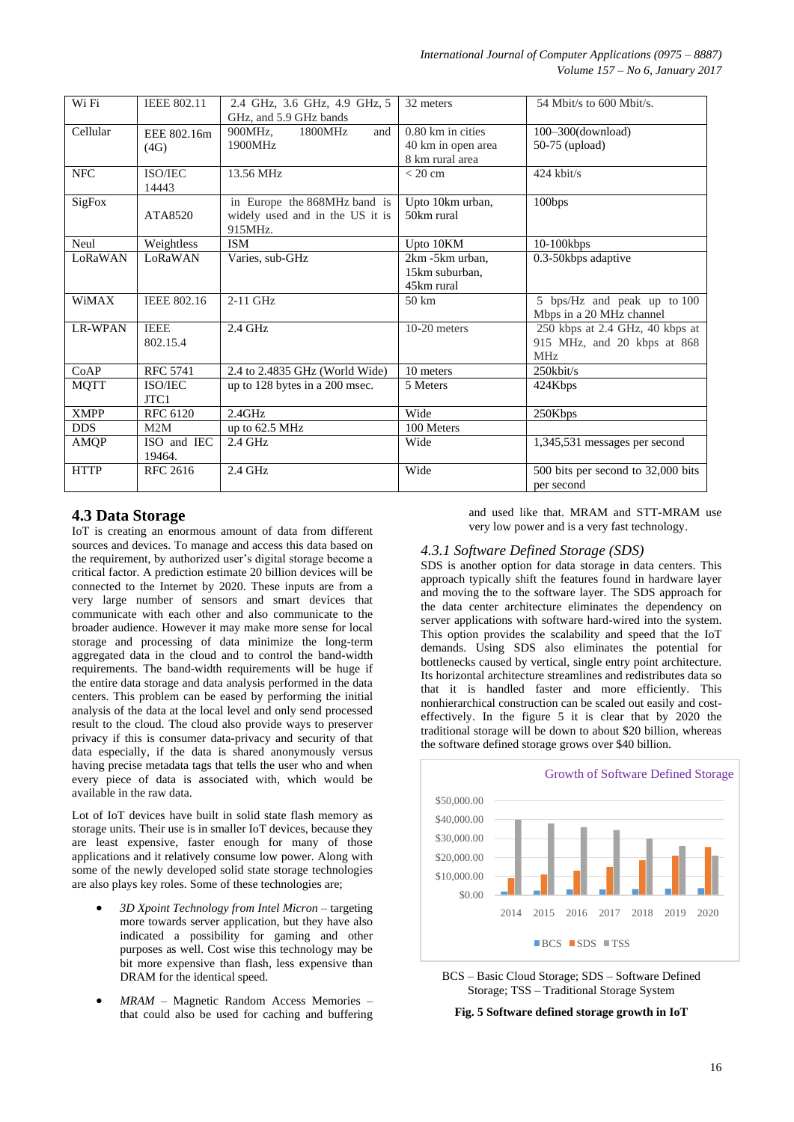| Wi Fi          | <b>IEEE 802.11</b>      | 2.4 GHz, 3.6 GHz, 4.9 GHz, 5<br>GHz, and 5.9 GHz bands                     | 32 meters                                                    | 54 Mbit/s to 600 Mbit/s.                                                          |
|----------------|-------------------------|----------------------------------------------------------------------------|--------------------------------------------------------------|-----------------------------------------------------------------------------------|
| Cellular       | EEE 802.16m<br>(4G)     | 900MHz,<br>1800MHz<br>and<br>1900MHz                                       | $0.80$ km in cities<br>40 km in open area<br>8 km rural area | 100-300(download)<br>50-75 (upload)                                               |
| <b>NFC</b>     | ISO/IEC<br>14443        | 13.56 MHz                                                                  | $<$ 20 cm                                                    | $424$ kbit/s                                                                      |
| SigFox         | ATA8520                 | in Europe the 868MHz band is<br>widely used and in the US it is<br>915MHz. | Upto 10km urban,<br>50km rural                               | 100bps                                                                            |
| Neul           | Weightless              | <b>ISM</b>                                                                 | Upto 10KM                                                    | 10-100kbps                                                                        |
| LoRaWAN        | LoRaWAN                 | Varies, sub-GHz                                                            | 2km -5km urban,<br>15km suburban,<br>45km rural              | 0.3-50kbps adaptive                                                               |
| <b>WiMAX</b>   | <b>IEEE 802.16</b>      | $2-11$ GHz                                                                 | $50 \mathrm{km}$                                             | 5 bps/Hz and peak up to 100<br>Mbps in a 20 MHz channel                           |
| <b>LR-WPAN</b> | <b>IEEE</b><br>802.15.4 | $2.4$ GHz                                                                  | $10-20$ meters                                               | 250 kbps at 2.4 GHz, 40 kbps at<br>915 MHz, and 20 kbps at 868<br>MH <sub>z</sub> |
| CoAP           | <b>RFC 5741</b>         | 2.4 to 2.4835 GHz (World Wide)                                             | 10 meters                                                    | $250$ kbit/s                                                                      |
| <b>MQTT</b>    | ISO/IEC<br>JTC1         | $\overline{up}$ to 128 bytes in a 200 msec.                                | 5 Meters                                                     | 424Kbps                                                                           |
| <b>XMPP</b>    | <b>RFC 6120</b>         | 2.4GHz                                                                     | Wide                                                         | 250Kbps                                                                           |
| <b>DDS</b>     | M2M                     | up to 62.5 MHz                                                             | 100 Meters                                                   |                                                                                   |
| AMQP           | ISO and IEC<br>19464.   | $2.4$ GHz                                                                  | Wide                                                         | 1,345,531 messages per second                                                     |
| <b>HTTP</b>    | <b>RFC 2616</b>         | $2.4$ GHz                                                                  | Wide                                                         | 500 bits per second to 32,000 bits<br>per second                                  |

# **4.3 Data Storage**

IoT is creating an enormous amount of data from different sources and devices. To manage and access this data based on the requirement, by authorized user's digital storage become a critical factor. A prediction estimate 20 billion devices will be connected to the Internet by 2020. These inputs are from a very large number of sensors and smart devices that communicate with each other and also communicate to the broader audience. However it may make more sense for local storage and processing of data minimize the long-term aggregated data in the cloud and to control the band-width requirements. The band-width requirements will be huge if the entire data storage and data analysis performed in the data centers. This problem can be eased by performing the initial analysis of the data at the local level and only send processed result to the cloud. The cloud also provide ways to preserver privacy if this is consumer data-privacy and security of that data especially, if the data is shared anonymously versus having precise metadata tags that tells the user who and when every piece of data is associated with, which would be available in the raw data.

Lot of IoT devices have built in solid state flash memory as storage units. Their use is in smaller IoT devices, because they are least expensive, faster enough for many of those applications and it relatively consume low power. Along with some of the newly developed solid state storage technologies are also plays key roles. Some of these technologies are;

- *3D Xpoint Technology from Intel Micron* targeting more towards server application, but they have also indicated a possibility for gaming and other purposes as well. Cost wise this technology may be bit more expensive than flash, less expensive than DRAM for the identical speed.
- *MRAM* Magnetic Random Access Memories that could also be used for caching and buffering

and used like that. MRAM and STT-MRAM use very low power and is a very fast technology.

## *4.3.1 Software Defined Storage (SDS)*

SDS is another option for data storage in data centers. This approach typically shift the features found in hardware layer and moving the to the software layer. The SDS approach for the data center architecture eliminates the dependency on server applications with software hard-wired into the system. This option provides the scalability and speed that the IoT demands. Using SDS also eliminates the potential for bottlenecks caused by vertical, single entry point architecture. Its horizontal architecture streamlines and redistributes data so that it is handled faster and more efficiently. This nonhierarchical construction can be scaled out easily and costeffectively. In the figure 5 it is clear that by 2020 the traditional storage will be down to about \$20 billion, whereas the software defined storage grows over \$40 billion.



BCS – Basic Cloud Storage; SDS – Software Defined Storage; TSS – Traditional Storage System

**Fig. 5 Software defined storage growth in IoT**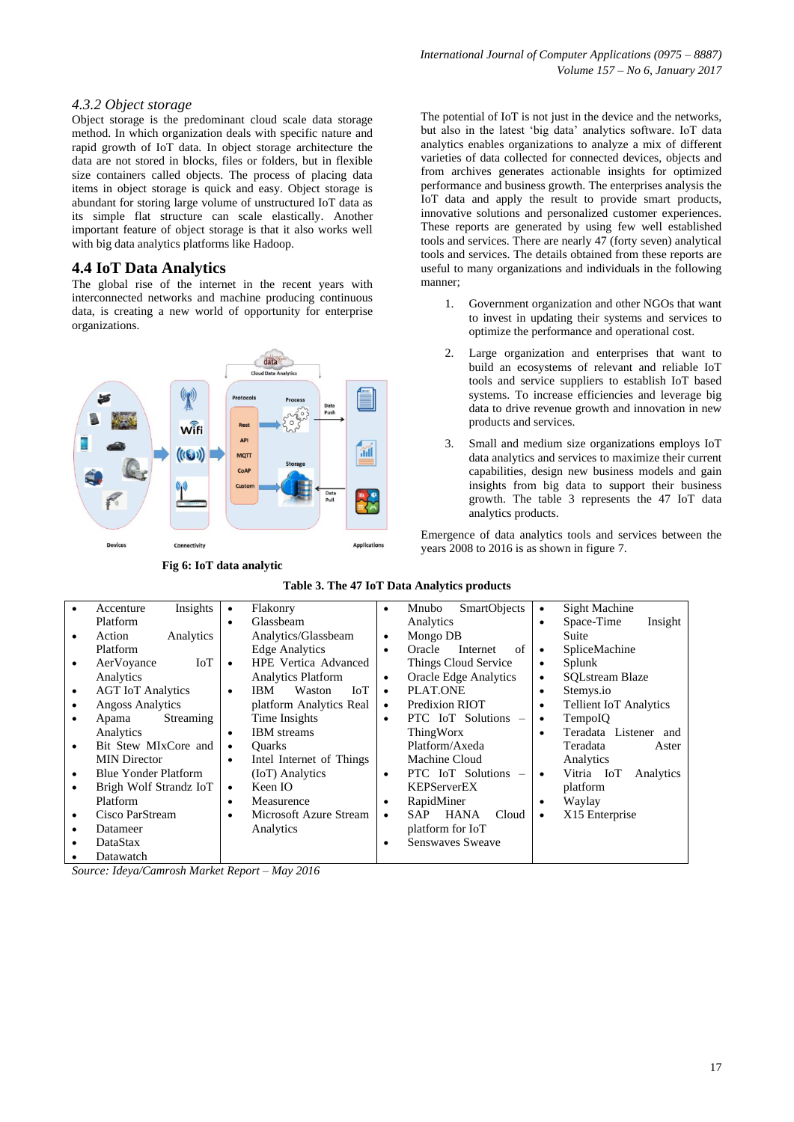#### *4.3.2 Object storage*

Object storage is the predominant cloud scale data storage method. In which organization deals with specific nature and rapid growth of IoT data. In object storage architecture the data are not stored in blocks, files or folders, but in flexible size containers called objects. The process of placing data items in object storage is quick and easy. Object storage is abundant for storing large volume of unstructured IoT data as its simple flat structure can scale elastically. Another important feature of object storage is that it also works well with big data analytics platforms like Hadoop.

## **4.4 IoT Data Analytics**

The global rise of the internet in the recent years with interconnected networks and machine producing continuous data, is creating a new world of opportunity for enterprise organizations.



**Fig 6: IoT data analytic**

The potential of IoT is not just in the device and the networks, but also in the latest 'big data' analytics software. IoT data analytics enables organizations to analyze a mix of different varieties of data collected for connected devices, objects and from archives generates actionable insights for optimized performance and business growth. The enterprises analysis the IoT data and apply the result to provide smart products, innovative solutions and personalized customer experiences. These reports are generated by using few well established tools and services. There are nearly 47 (forty seven) analytical tools and services. The details obtained from these reports are useful to many organizations and individuals in the following manner;

- 1. Government organization and other NGOs that want to invest in updating their systems and services to optimize the performance and operational cost.
- 2. Large organization and enterprises that want to build an ecosystems of relevant and reliable IoT tools and service suppliers to establish IoT based systems. To increase efficiencies and leverage big data to drive revenue growth and innovation in new products and services.
- 3. Small and medium size organizations employs IoT data analytics and services to maximize their current capabilities, design new business models and gain insights from big data to support their business growth. The table 3 represents the 47 IoT data analytics products.

Emergence of data analytics tools and services between the years 2008 to 2016 is as shown in figure 7.

|           | Insights<br>Accenture       | $\bullet$ | Flakonry                    | $\bullet$ | <b>SmartObjects</b><br>Mnubo       | ٠         | Sight Machine                 |
|-----------|-----------------------------|-----------|-----------------------------|-----------|------------------------------------|-----------|-------------------------------|
|           | Platform                    | $\bullet$ | Glassbeam                   |           | Analytics                          | ٠         | Space-Time<br>Insight         |
| $\bullet$ | Analytics<br>Action         |           | Analytics/Glassbeam         | ٠         | Mongo DB                           |           | Suite                         |
|           | Platform                    |           | <b>Edge Analytics</b>       | $\bullet$ | of<br>Oracle<br>Internet           | $\bullet$ | SpliceMachine                 |
| $\bullet$ | IoT<br>AerVoyance           | $\bullet$ | <b>HPE</b> Vertica Advanced |           | Things Cloud Service               | ٠         | Splunk                        |
|           | Analytics                   |           | <b>Analytics Platform</b>   | $\bullet$ | Oracle Edge Analytics              | ٠         | <b>SOLstream Blaze</b>        |
| $\bullet$ | <b>AGT</b> IoT Analytics    | $\bullet$ | IBM<br>Waston<br>IoT        | $\bullet$ | PLAT.ONE                           | ٠         | Stemys.io                     |
| ٠         | <b>Angoss Analytics</b>     |           | platform Analytics Real     | $\bullet$ | Predixion RIOT                     | $\bullet$ | <b>Tellient IoT Analytics</b> |
| $\bullet$ | Streaming<br>Apama          |           | Time Insights               | ٠         | PTC IoT Solutions -                | ٠         | TempoIO                       |
|           | Analytics                   | $\bullet$ | <b>IBM</b> streams          |           | ThingWorx                          |           | Teradata Listener and         |
| $\bullet$ | Bit Stew MIxCore and        | $\bullet$ | <b>Ouarks</b>               |           | Platform/Axeda                     |           | Teradata<br>Aster             |
|           | <b>MIN Director</b>         | $\bullet$ | Intel Internet of Things    |           | Machine Cloud                      |           | Analytics                     |
| $\bullet$ | <b>Blue Yonder Platform</b> |           | (IoT) Analytics             | ٠         | PTC IoT Solutions -                |           | Vitria IoT<br>Analytics       |
| $\bullet$ | Brigh Wolf Strandz IoT      | $\bullet$ | Keen IO                     |           | <b>KEPServerEX</b>                 |           | platform                      |
|           | Platform                    | $\bullet$ | Measurence                  | ٠         | RapidMiner                         | ٠         | Waylay                        |
| $\bullet$ | Cisco ParStream             | $\bullet$ | Microsoft Azure Stream      | ٠         | <b>HANA</b><br>Cloud<br><b>SAP</b> | $\bullet$ | X15 Enterprise                |
| $\bullet$ | Datameer                    |           | Analytics                   |           | platform for IoT                   |           |                               |
|           | DataStax                    |           |                             |           | Senswayes Sweave                   |           |                               |
|           | Datawatch                   |           |                             |           |                                    |           |                               |

## **Table 3. The 47 IoT Data Analytics products**

*Source: Ideya/Camrosh Market Report – May 2016*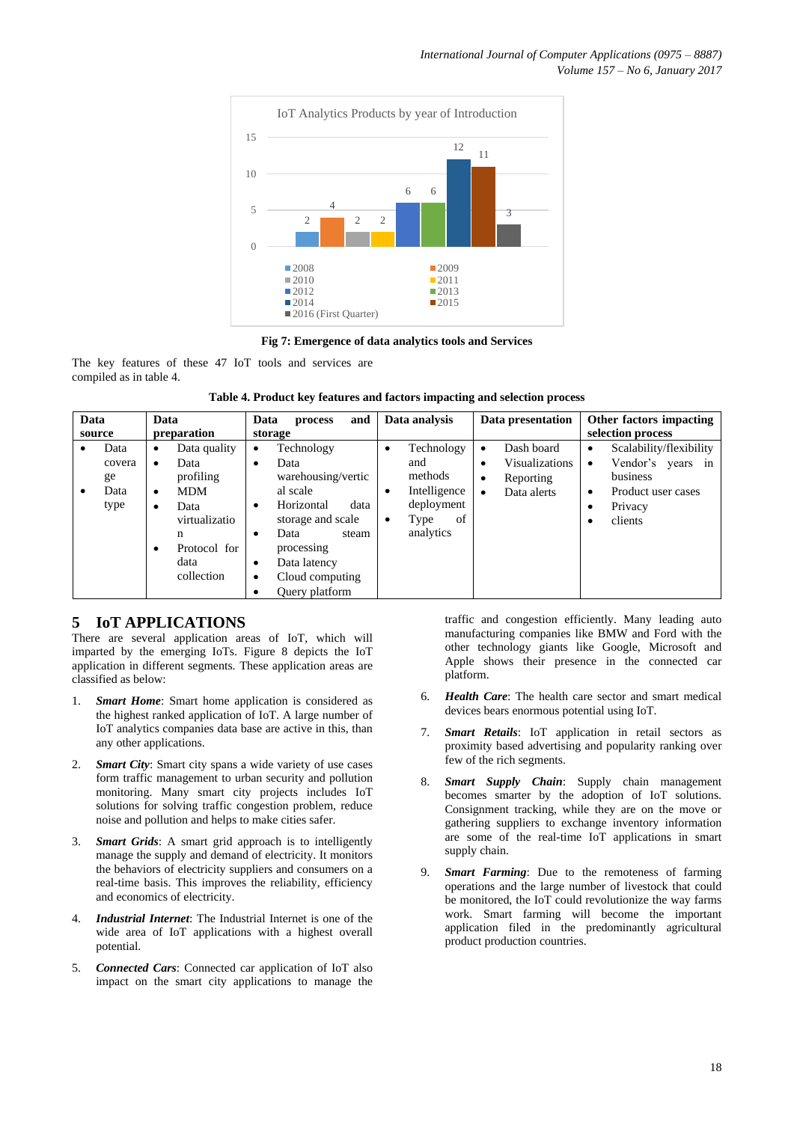

**Fig 7: Emergence of data analytics tools and Services**

The key features of these 47 IoT tools and services are compiled as in table 4.

|  |  | Table 4. Product key features and factors impacting and selection process |  |  |
|--|--|---------------------------------------------------------------------------|--|--|
|  |  |                                                                           |  |  |

| Data | source                               | Data<br>preparation                                                                     | and<br>Data<br>process<br>storage                                                                                               | Data analysis                                                                                                | Data presentation                                                                            | Other factors impacting<br>selection process                                                                                             |  |
|------|--------------------------------------|-----------------------------------------------------------------------------------------|---------------------------------------------------------------------------------------------------------------------------------|--------------------------------------------------------------------------------------------------------------|----------------------------------------------------------------------------------------------|------------------------------------------------------------------------------------------------------------------------------------------|--|
|      | Data<br>covera<br>ge<br>Data<br>type | Data quality<br>٠<br>Data<br>profiling<br><b>MDM</b><br>٠<br>Data<br>virtualizatio<br>n | Technology<br>٠<br>Data<br>٠<br>warehousing/vertic<br>al scale<br>Horizontal<br>data<br>٠<br>storage and scale<br>Data<br>steam | Technology<br>$\bullet$<br>and<br>methods<br>Intelligence<br>٠<br>deployment<br>of<br>Type<br>٠<br>analytics | Dash board<br>$\bullet$<br>Visualizations<br>٠<br>Reporting<br>٠<br>Data alerts<br>$\bullet$ | Scalability/flexibility<br>$\bullet$<br>Vendor's years in<br>$\bullet$<br>business<br>Product user cases<br>٠<br>Privacy<br>٠<br>clients |  |
|      |                                      | Protocol for<br>data<br>collection                                                      | processing<br>Data latency<br>٠<br>Cloud computing<br>٠<br>Query platform                                                       |                                                                                                              |                                                                                              |                                                                                                                                          |  |

# **5 IoT APPLICATIONS**

There are several application areas of IoT, which will imparted by the emerging IoTs. Figure 8 depicts the IoT application in different segments. These application areas are classified as below:

- 1. *Smart Home*: Smart home application is considered as the highest ranked application of IoT. A large number of IoT analytics companies data base are active in this, than any other applications.
- 2. *Smart City*: Smart city spans a wide variety of use cases form traffic management to urban security and pollution monitoring. Many smart city projects includes IoT solutions for solving traffic congestion problem, reduce noise and pollution and helps to make cities safer.
- **Smart Grids**: A smart grid approach is to intelligently manage the supply and demand of electricity. It monitors the behaviors of electricity suppliers and consumers on a real-time basis. This improves the reliability, efficiency and economics of electricity.
- 4. *Industrial Internet*: The Industrial Internet is one of the wide area of IoT applications with a highest overall potential.
- 5. *Connected Cars*: Connected car application of IoT also impact on the smart city applications to manage the

traffic and congestion efficiently. Many leading auto manufacturing companies like BMW and Ford with the other technology giants like Google, Microsoft and Apple shows their presence in the connected car platform.

- 6. *Health Care*: The health care sector and smart medical devices bears enormous potential using IoT.
- 7. *Smart Retails*: IoT application in retail sectors as proximity based advertising and popularity ranking over few of the rich segments.
- 8. *Smart Supply Chain*: Supply chain management becomes smarter by the adoption of IoT solutions. Consignment tracking, while they are on the move or gathering suppliers to exchange inventory information are some of the real-time IoT applications in smart supply chain.
- 9. *Smart Farming*: Due to the remoteness of farming operations and the large number of livestock that could be monitored, the IoT could revolutionize the way farms work. Smart farming will become the important application filed in the predominantly agricultural product production countries.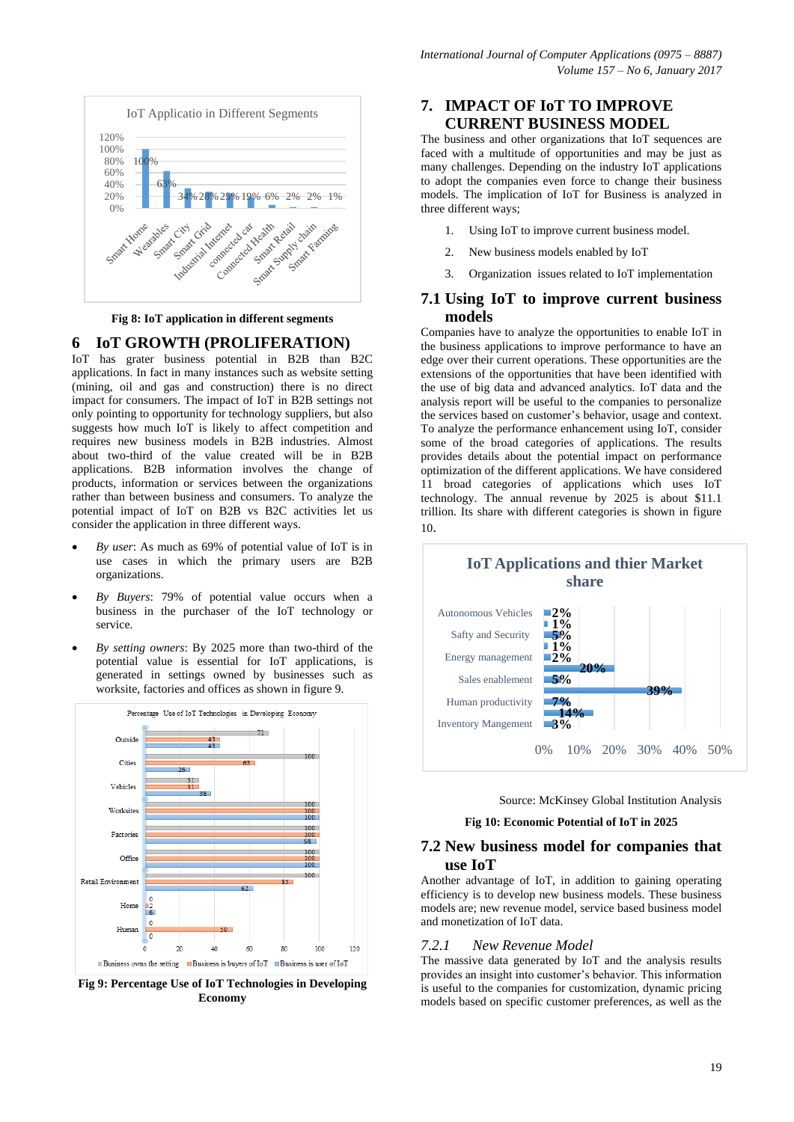

**Fig 8: IoT application in different segments**

## **6 IoT GROWTH (PROLIFERATION)**

IoT has grater business potential in B2B than B2C applications. In fact in many instances such as website setting (mining, oil and gas and construction) there is no direct impact for consumers. The impact of IoT in B2B settings not only pointing to opportunity for technology suppliers, but also suggests how much IoT is likely to affect competition and requires new business models in B2B industries. Almost about two-third of the value created will be in B2B applications. B2B information involves the change of products, information or services between the organizations rather than between business and consumers. To analyze the potential impact of IoT on B2B vs B2C activities let us consider the application in three different ways.

- *By user*: As much as 69% of potential value of IoT is in use cases in which the primary users are B2B organizations.
- *By Buyers*: 79% of potential value occurs when a business in the purchaser of the IoT technology or service.
- *By setting owners*: By 2025 more than two-third of the potential value is essential for IoT applications, is generated in settings owned by businesses such as worksite, factories and offices as shown in figure 9.



**Fig 9: Percentage Use of IoT Technologies in Developing Economy**

## **7. IMPACT OF IoT TO IMPROVE CURRENT BUSINESS MODEL**

The business and other organizations that IoT sequences are faced with a multitude of opportunities and may be just as many challenges. Depending on the industry IoT applications to adopt the companies even force to change their business models. The implication of IoT for Business is analyzed in three different ways;

- 1. Using IoT to improve current business model.
- 2. New business models enabled by IoT
- 3. Organization issues related to IoT implementation

## **7.1 Using IoT to improve current business models**

Companies have to analyze the opportunities to enable IoT in the business applications to improve performance to have an edge over their current operations. These opportunities are the extensions of the opportunities that have been identified with the use of big data and advanced analytics. IoT data and the analysis report will be useful to the companies to personalize the services based on customer's behavior, usage and context. To analyze the performance enhancement using IoT, consider some of the broad categories of applications. The results provides details about the potential impact on performance optimization of the different applications. We have considered 11 broad categories of applications which uses IoT technology. The annual revenue by 2025 is about \$11.1 trillion. Its share with different categories is shown in figure 10.



Source: McKinsey Global Institution Analysis

**Fig 10: Economic Potential of IoT in 2025**

## **7.2 New business model for companies that use IoT**

Another advantage of IoT, in addition to gaining operating efficiency is to develop new business models. These business models are; new revenue model, service based business model and monetization of IoT data.

#### *7.2.1 New Revenue Model*

The massive data generated by IoT and the analysis results provides an insight into customer's behavior. This information is useful to the companies for customization, dynamic pricing models based on specific customer preferences, as well as the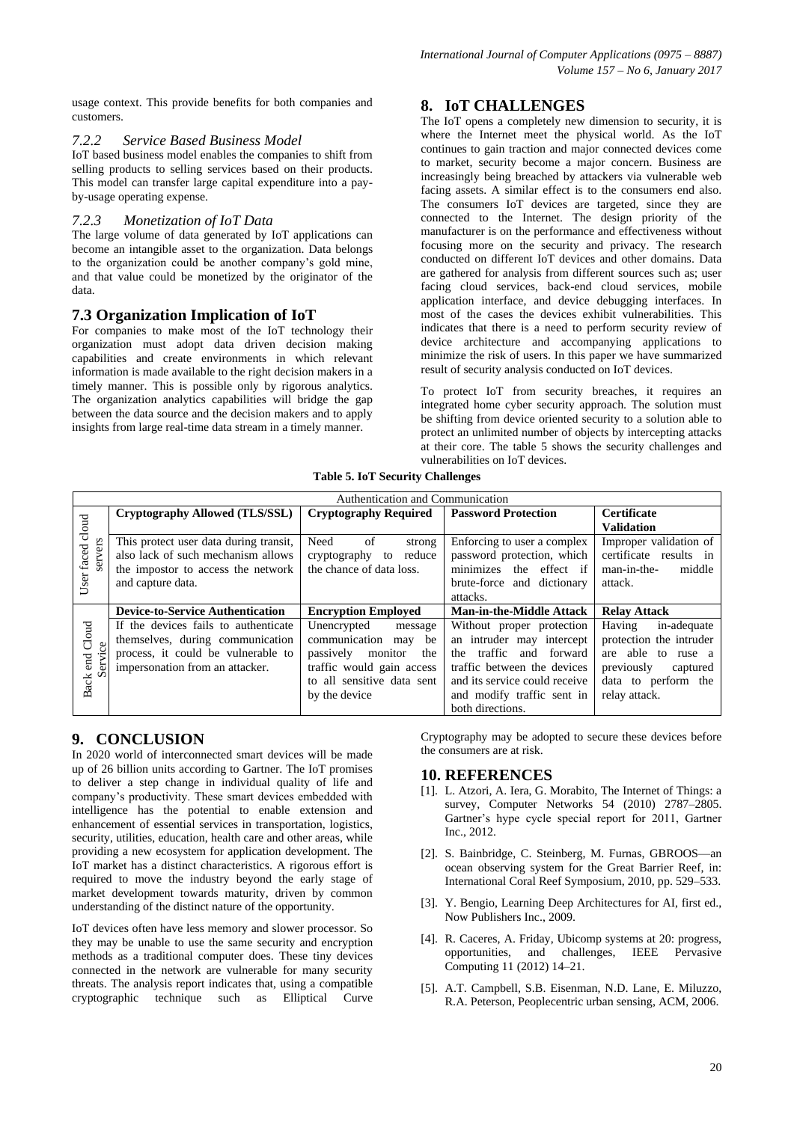usage context. This provide benefits for both companies and customers.

## *7.2.2 Service Based Business Model*

IoT based business model enables the companies to shift from selling products to selling services based on their products. This model can transfer large capital expenditure into a payby-usage operating expense.

### *7.2.3 Monetization of IoT Data*

The large volume of data generated by IoT applications can become an intangible asset to the organization. Data belongs to the organization could be another company's gold mine, and that value could be monetized by the originator of the data.

## **7.3 Organization Implication of IoT**

For companies to make most of the IoT technology their organization must adopt data driven decision making capabilities and create environments in which relevant information is made available to the right decision makers in a timely manner. This is possible only by rigorous analytics. The organization analytics capabilities will bridge the gap between the data source and the decision makers and to apply insights from large real-time data stream in a timely manner.

# **8. IoT CHALLENGES**

The IoT opens a completely new dimension to security, it is where the Internet meet the physical world. As the IoT continues to gain traction and major connected devices come to market, security become a major concern. Business are increasingly being breached by attackers via vulnerable web facing assets. A similar effect is to the consumers end also. The consumers IoT devices are targeted, since they are connected to the Internet. The design priority of the manufacturer is on the performance and effectiveness without focusing more on the security and privacy. The research conducted on different IoT devices and other domains. Data are gathered for analysis from different sources such as; user facing cloud services, back-end cloud services, mobile application interface, and device debugging interfaces. In most of the cases the devices exhibit vulnerabilities. This indicates that there is a need to perform security review of device architecture and accompanying applications to minimize the risk of users. In this paper we have summarized result of security analysis conducted on IoT devices.

To protect IoT from security breaches, it requires an integrated home cyber security approach. The solution must be shifting from device oriented security to a solution able to protect an unlimited number of objects by intercepting attacks at their core. The table 5 shows the security challenges and vulnerabilities on IoT devices.

**Table 5. IoT Security Challenges**

|                  | Authentication and Communication        |                              |                                 |                          |  |  |
|------------------|-----------------------------------------|------------------------------|---------------------------------|--------------------------|--|--|
|                  | Cryptography Allowed (TLS/SSL)          | <b>Cryptography Required</b> | <b>Password Protection</b>      | <b>Certificate</b>       |  |  |
| User faced cloud |                                         |                              |                                 | <b>Validation</b>        |  |  |
|                  | This protect user data during transit,  | Need<br>of<br>strong         | Enforcing to user a complex     | Improper validation of   |  |  |
| servers          | also lack of such mechanism allows      | reduce<br>cryptography<br>to | password protection, which      | certificate results in   |  |  |
|                  | the impostor to access the network      | the chance of data loss.     | minimizes the effect if         | man-in-the-<br>middle    |  |  |
|                  | and capture data.                       |                              | brute-force and dictionary      | attack.                  |  |  |
|                  |                                         |                              | attacks.                        |                          |  |  |
|                  | <b>Device-to-Service Authentication</b> | <b>Encryption Employed</b>   | <b>Man-in-the-Middle Attack</b> | <b>Relay Attack</b>      |  |  |
|                  | If the devices fails to authenticate    | Unencrypted<br>message       | Without proper protection       | Having<br>in-adequate    |  |  |
| Cloud<br>g       | themselves, during communication        | communication<br>be<br>may   | an intruder may intercept       | protection the intruder  |  |  |
|                  | process, it could be vulnerable to      | passively<br>monitor<br>the  | and forward<br>traffic<br>the   | able to<br>ruse a<br>are |  |  |
| end<br>Servi     | impersonation from an attacker.         | traffic would gain access    | traffic between the devices     | previously               |  |  |
|                  |                                         |                              |                                 | captured                 |  |  |
|                  |                                         | to all sensitive data sent   | and its service could receive   | data to perform the      |  |  |
| <b>Back</b>      |                                         | by the device                | and modify traffic sent in      | relay attack.            |  |  |

# **9. CONCLUSION**

In 2020 world of interconnected smart devices will be made up of 26 billion units according to Gartner. The IoT promises to deliver a step change in individual quality of life and company's productivity. These smart devices embedded with intelligence has the potential to enable extension and enhancement of essential services in transportation, logistics, security, utilities, education, health care and other areas, while providing a new ecosystem for application development. The IoT market has a distinct characteristics. A rigorous effort is required to move the industry beyond the early stage of market development towards maturity, driven by common understanding of the distinct nature of the opportunity.

IoT devices often have less memory and slower processor. So they may be unable to use the same security and encryption methods as a traditional computer does. These tiny devices connected in the network are vulnerable for many security threats. The analysis report indicates that, using a compatible cryptographic technique such as Elliptical Curve

Cryptography may be adopted to secure these devices before the consumers are at risk.

#### **10. REFERENCES**

- [1]. L. Atzori, A. Iera, G. Morabito, The Internet of Things: a survey, Computer Networks 54 (2010) 2787–2805. Gartner's hype cycle special report for 2011, Gartner Inc., 2012.
- [2]. S. Bainbridge, C. Steinberg, M. Furnas, GBROOS—an ocean observing system for the Great Barrier Reef, in: International Coral Reef Symposium, 2010, pp. 529–533.
- [3]. Y. Bengio, Learning Deep Architectures for AI, first ed., Now Publishers Inc., 2009.
- [4]. R. Caceres, A. Friday, Ubicomp systems at 20: progress, opportunities, and challenges, IEEE Pervasive Computing 11 (2012) 14–21.
- [5]. A.T. Campbell, S.B. Eisenman, N.D. Lane, E. Miluzzo, R.A. Peterson, Peoplecentric urban sensing, ACM, 2006.